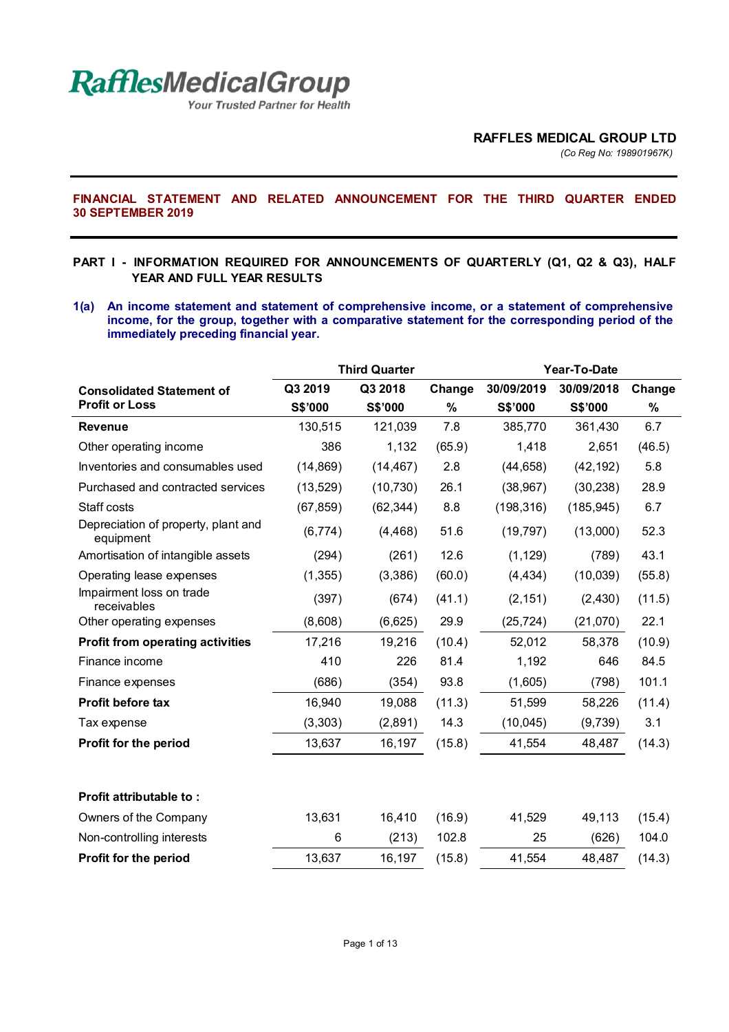

Your Trusted Partner for Health

*(Co Reg No: 198901967K)*

**FINANCIAL STATEMENT AND RELATED ANNOUNCEMENT FOR THE THIRD QUARTER ENDED 30 SEPTEMBER 2019** 

- **PART I INFORMATION REQUIRED FOR ANNOUNCEMENTS OF QUARTERLY (Q1, Q2 & Q3), HALF YEAR AND FULL YEAR RESULTS**
- **1(a) An income statement and statement of comprehensive income, or a statement of comprehensive income, for the group, together with a comparative statement for the corresponding period of the immediately preceding financial year.**

|                                                  |           | <b>Third Quarter</b> |        | Year-To-Date |            |        |
|--------------------------------------------------|-----------|----------------------|--------|--------------|------------|--------|
| <b>Consolidated Statement of</b>                 | Q3 2019   | Q3 2018              | Change | 30/09/2019   | 30/09/2018 | Change |
| <b>Profit or Loss</b>                            | S\$'000   | S\$'000              | $\%$   | S\$'000      | S\$'000    | $\%$   |
| <b>Revenue</b>                                   | 130,515   | 121,039              | 7.8    | 385,770      | 361,430    | 6.7    |
| Other operating income                           | 386       | 1,132                | (65.9) | 1,418        | 2,651      | (46.5) |
| Inventories and consumables used                 | (14, 869) | (14, 467)            | 2.8    | (44, 658)    | (42, 192)  | 5.8    |
| Purchased and contracted services                | (13, 529) | (10, 730)            | 26.1   | (38, 967)    | (30, 238)  | 28.9   |
| Staff costs                                      | (67, 859) | (62, 344)            | 8.8    | (198, 316)   | (185, 945) | 6.7    |
| Depreciation of property, plant and<br>equipment | (6,774)   | (4, 468)             | 51.6   | (19, 797)    | (13,000)   | 52.3   |
| Amortisation of intangible assets                | (294)     | (261)                | 12.6   | (1, 129)     | (789)      | 43.1   |
| Operating lease expenses                         | (1, 355)  | (3,386)              | (60.0) | (4, 434)     | (10,039)   | (55.8) |
| Impairment loss on trade<br>receivables          | (397)     | (674)                | (41.1) | (2, 151)     | (2, 430)   | (11.5) |
| Other operating expenses                         | (8,608)   | (6,625)              | 29.9   | (25, 724)    | (21,070)   | 22.1   |
| <b>Profit from operating activities</b>          | 17,216    | 19,216               | (10.4) | 52,012       | 58,378     | (10.9) |
| Finance income                                   | 410       | 226                  | 81.4   | 1,192        | 646        | 84.5   |
| Finance expenses                                 | (686)     | (354)                | 93.8   | (1,605)      | (798)      | 101.1  |
| Profit before tax                                | 16,940    | 19,088               | (11.3) | 51,599       | 58,226     | (11.4) |
| Tax expense                                      | (3,303)   | (2,891)              | 14.3   | (10, 045)    | (9,739)    | 3.1    |
| Profit for the period                            | 13,637    | 16,197               | (15.8) | 41,554       | 48,487     | (14.3) |
|                                                  |           |                      |        |              |            |        |
| Profit attributable to:                          |           |                      |        |              |            |        |
| Owners of the Company                            | 13,631    | 16,410               | (16.9) | 41,529       | 49,113     | (15.4) |
| Non-controlling interests                        | 6         | (213)                | 102.8  | 25           | (626)      | 104.0  |
| Profit for the period                            | 13,637    | 16,197               | (15.8) | 41,554       | 48,487     | (14.3) |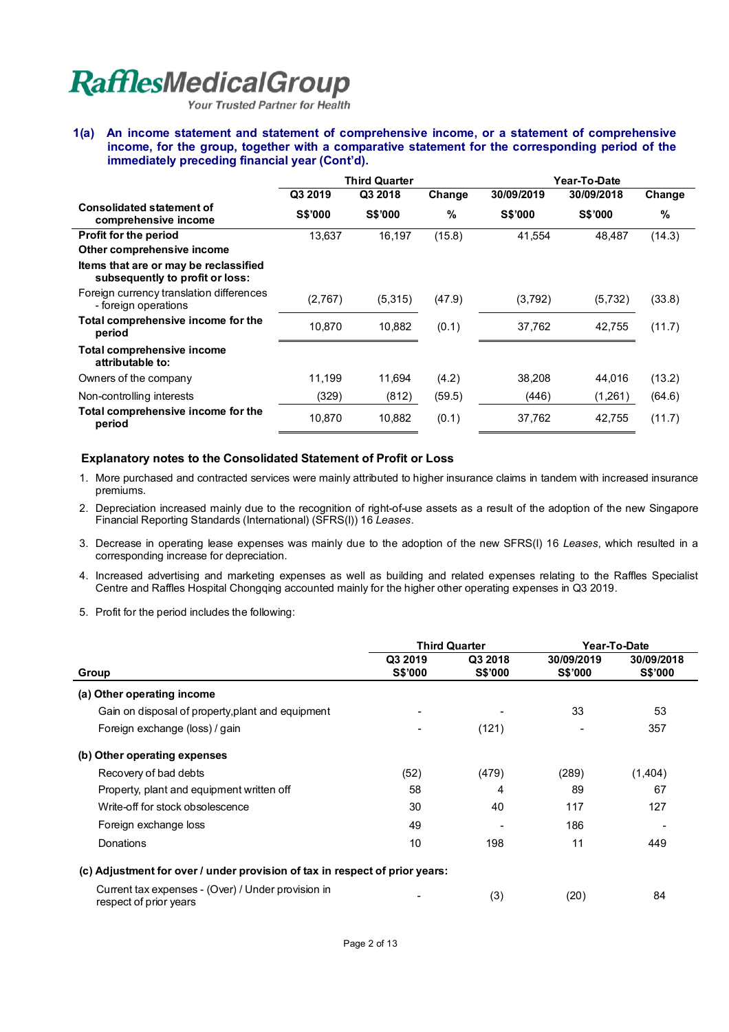Your Trusted Partner for Health

**1(a) An income statement and statement of comprehensive income, or a statement of comprehensive income, for the group, together with a comparative statement for the corresponding period of the immediately preceding financial year (Cont'd).** 

|                                                                          | <b>Third Quarter</b> |                |        | Year-To-Date   |                |        |
|--------------------------------------------------------------------------|----------------------|----------------|--------|----------------|----------------|--------|
|                                                                          | Q3 2019              | Q3 2018        | Change | 30/09/2019     | 30/09/2018     | Change |
| <b>Consolidated statement of</b><br>comprehensive income                 | <b>S\$'000</b>       | <b>S\$'000</b> | %      | <b>S\$'000</b> | <b>S\$'000</b> | %      |
| <b>Profit for the period</b>                                             | 13,637               | 16,197         | (15.8) | 41,554         | 48,487         | (14.3) |
| Other comprehensive income                                               |                      |                |        |                |                |        |
| Items that are or may be reclassified<br>subsequently to profit or loss: |                      |                |        |                |                |        |
| Foreign currency translation differences<br>- foreign operations         | (2,767)              | (5,315)        | (47.9) | (3,792)        | (5,732)        | (33.8) |
| Total comprehensive income for the<br>period                             | 10,870               | 10,882         | (0.1)  | 37,762         | 42,755         | (11.7) |
| Total comprehensive income<br>attributable to:                           |                      |                |        |                |                |        |
| Owners of the company                                                    | 11,199               | 11,694         | (4.2)  | 38,208         | 44,016         | (13.2) |
| Non-controlling interests                                                | (329)                | (812)          | (59.5) | (446)          | (1,261)        | (64.6) |
| Total comprehensive income for the<br>period                             | 10,870               | 10,882         | (0.1)  | 37,762         | 42,755         | (11.7) |

### **Explanatory notes to the Consolidated Statement of Profit or Loss**

- 1. More purchased and contracted services were mainly attributed to higher insurance claims in tandem with increased insurance premiums.
- 2. Depreciation increased mainly due to the recognition of right-of-use assets as a result of the adoption of the new Singapore Financial Reporting Standards (International) (SFRS(I)) 16 *Leases*.
- 3. Decrease in operating lease expenses was mainly due to the adoption of the new SFRS(I) 16 *Leases*, which resulted in a corresponding increase for depreciation.
- 4. Increased advertising and marketing expenses as well as building and related expenses relating to the Raffles Specialist Centre and Raffles Hospital Chongqing accounted mainly for the higher other operating expenses in Q3 2019.
- 5. Profit for the period includes the following:

|                                                                              | <b>Third Quarter</b>      |                           |                       | Year-To-Date                 |
|------------------------------------------------------------------------------|---------------------------|---------------------------|-----------------------|------------------------------|
| Group                                                                        | Q3 2019<br><b>S\$'000</b> | Q3 2018<br><b>S\$'000</b> | 30/09/2019<br>S\$'000 | 30/09/2018<br><b>S\$'000</b> |
| (a) Other operating income                                                   |                           |                           |                       |                              |
| Gain on disposal of property, plant and equipment                            |                           |                           | 33                    | 53                           |
| Foreign exchange (loss) / gain                                               |                           | (121)                     |                       | 357                          |
| (b) Other operating expenses                                                 |                           |                           |                       |                              |
| Recovery of bad debts                                                        | (52)                      | (479)                     | (289)                 | (1,404)                      |
| Property, plant and equipment written off                                    | 58                        | 4                         | 89                    | 67                           |
| Write-off for stock obsolescence                                             | 30                        | 40                        | 117                   | 127                          |
| Foreign exchange loss                                                        | 49                        |                           | 186                   |                              |
| Donations                                                                    | 10                        | 198                       | 11                    | 449                          |
| (c) Adjustment for over / under provision of tax in respect of prior years:  |                           |                           |                       |                              |
| Current tax expenses - (Over) / Under provision in<br>respect of prior years |                           | (3)                       | (20)                  | 84                           |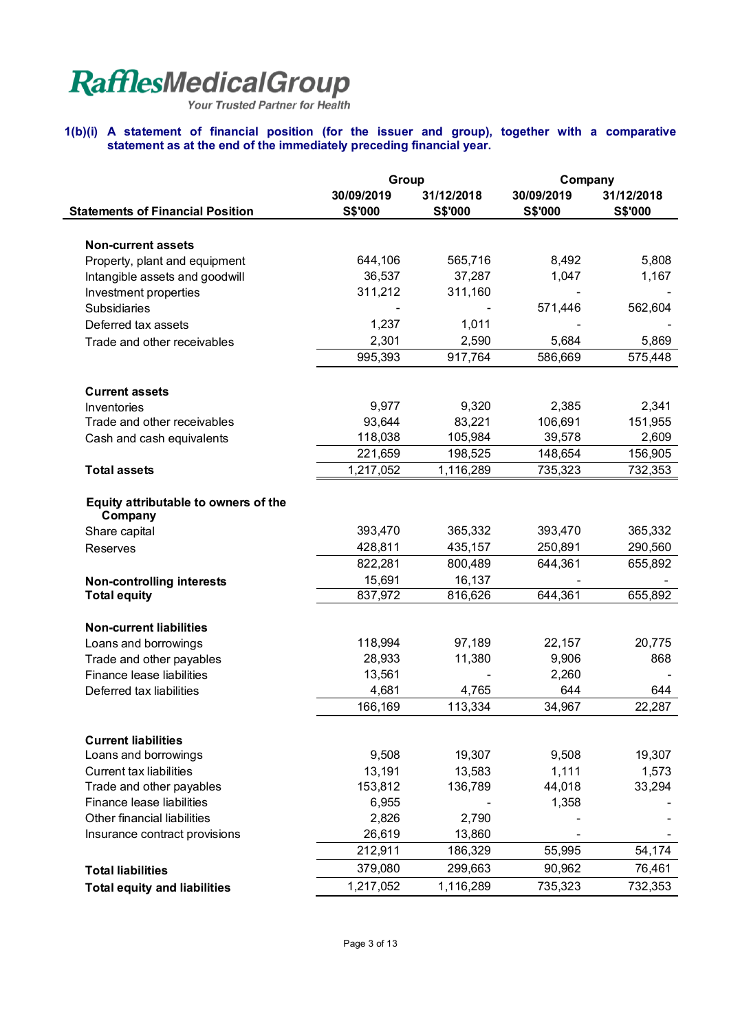Your Trusted Partner for Health

### **1(b)(i) A statement of financial position (for the issuer and group), together with a comparative statement as at the end of the immediately preceding financial year.**

|                                                 | Group                        |                              | Company                      |                       |  |
|-------------------------------------------------|------------------------------|------------------------------|------------------------------|-----------------------|--|
| <b>Statements of Financial Position</b>         | 30/09/2019<br><b>S\$'000</b> | 31/12/2018<br><b>S\$'000</b> | 30/09/2019<br><b>S\$'000</b> | 31/12/2018<br>S\$'000 |  |
|                                                 |                              |                              |                              |                       |  |
| <b>Non-current assets</b>                       |                              |                              |                              |                       |  |
| Property, plant and equipment                   | 644,106                      | 565,716                      | 8,492                        | 5,808                 |  |
| Intangible assets and goodwill                  | 36,537                       | 37,287                       | 1,047                        | 1,167                 |  |
| Investment properties                           | 311,212                      | 311,160                      |                              |                       |  |
| <b>Subsidiaries</b>                             |                              |                              | 571,446                      | 562,604               |  |
| Deferred tax assets                             | 1,237                        | 1,011                        |                              |                       |  |
| Trade and other receivables                     | 2,301                        | 2,590                        | 5,684                        | 5,869                 |  |
|                                                 | 995,393                      | 917,764                      | 586,669                      | 575,448               |  |
| <b>Current assets</b>                           |                              |                              |                              |                       |  |
| Inventories                                     | 9,977                        | 9,320                        | 2,385                        | 2,341                 |  |
| Trade and other receivables                     | 93,644                       | 83,221                       | 106,691                      | 151,955               |  |
| Cash and cash equivalents                       | 118,038                      | 105,984                      | 39,578                       | 2,609                 |  |
|                                                 | 221,659                      | 198,525                      | 148,654                      | 156,905               |  |
| <b>Total assets</b>                             | 1,217,052                    | 1,116,289                    | 735,323                      | $\overline{732,}353$  |  |
| Equity attributable to owners of the<br>Company |                              |                              |                              |                       |  |
| Share capital                                   | 393,470                      | 365,332                      | 393,470                      | 365,332               |  |
| <b>Reserves</b>                                 | 428,811                      | 435,157                      | 250,891                      | 290,560               |  |
|                                                 | 822,281                      | 800,489                      | 644,361                      | 655,892               |  |
| <b>Non-controlling interests</b>                | 15,691                       | 16,137                       |                              |                       |  |
| <b>Total equity</b>                             | 837,972                      | 816,626                      | 644,361                      | 655,892               |  |
| <b>Non-current liabilities</b>                  |                              |                              |                              |                       |  |
| Loans and borrowings                            | 118,994                      | 97,189                       | 22,157                       | 20,775                |  |
| Trade and other payables                        | 28,933                       | 11,380                       | 9,906                        | 868                   |  |
| Finance lease liabilities                       | 13,561                       |                              | 2,260                        |                       |  |
| Deferred tax liabilities                        | 4,681                        | 4,765                        | 644                          | 644                   |  |
|                                                 | 166,169                      | 113,334                      | 34,967                       | 22,287                |  |
| <b>Current liabilities</b>                      |                              |                              |                              |                       |  |
| Loans and borrowings                            | 9,508                        | 19,307                       | 9,508                        | 19,307                |  |
| <b>Current tax liabilities</b>                  | 13,191                       | 13,583                       | 1,111                        | 1,573                 |  |
| Trade and other payables                        | 153,812                      | 136,789                      | 44,018                       | 33,294                |  |
| Finance lease liabilities                       | 6,955                        |                              | 1,358                        |                       |  |
| Other financial liabilities                     | 2,826                        | 2,790                        |                              |                       |  |
| Insurance contract provisions                   | 26,619                       | 13,860                       |                              |                       |  |
|                                                 | 212,911                      | 186,329                      | 55,995                       | 54,174                |  |
| <b>Total liabilities</b>                        | 379,080                      | 299,663                      | 90,962                       | 76,461                |  |
| <b>Total equity and liabilities</b>             | 1,217,052                    | 1,116,289                    | 735,323                      | 732,353               |  |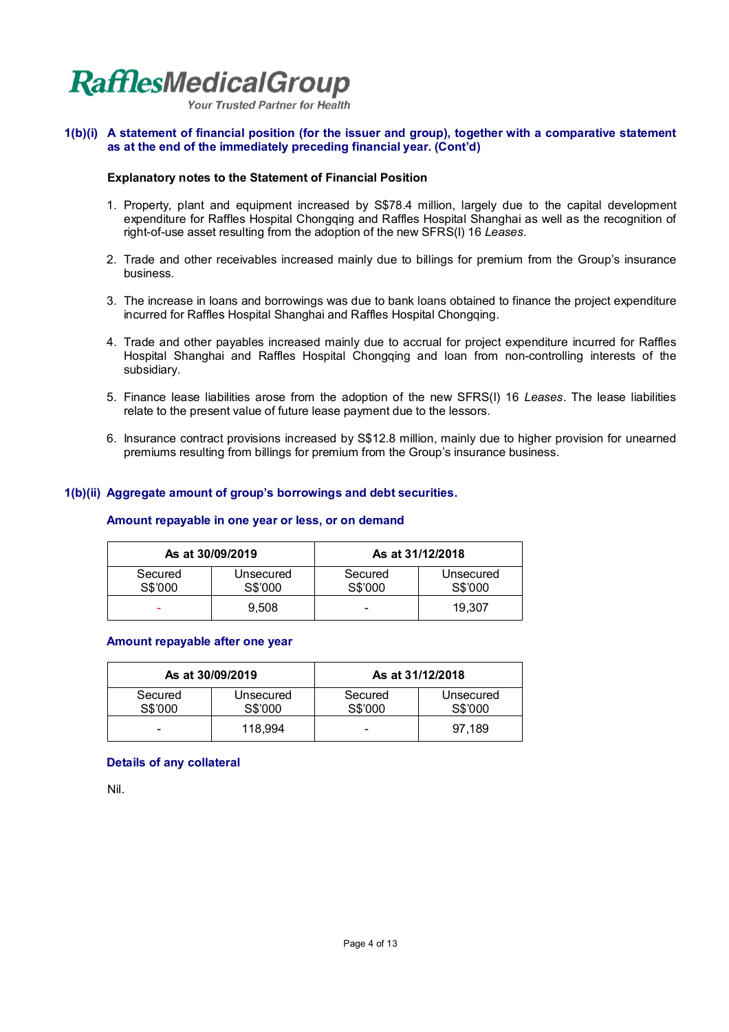

**Your Trusted Partner for Health** 

### **1(b)(i) A statement of financial position (for the issuer and group), together with a comparative statement as at the end of the immediately preceding financial year. (Cont'd)**

### **Explanatory notes to the Statement of Financial Position**

- 1. Property, plant and equipment increased by S\$78.4 million, largely due to the capital development expenditure for Raffles Hospital Chongqing and Raffles Hospital Shanghai as well as the recognition of right-of-use asset resulting from the adoption of the new SFRS(I) 16 *Leases*.
- 2. Trade and other receivables increased mainly due to billings for premium from the Group's insurance business.
- 3. The increase in loans and borrowings was due to bank loans obtained to finance the project expenditure incurred for Raffles Hospital Shanghai and Raffles Hospital Chongqing.
- 4. Trade and other payables increased mainly due to accrual for project expenditure incurred for Raffles Hospital Shanghai and Raffles Hospital Chongqing and loan from non-controlling interests of the subsidiary.
- 5. Finance lease liabilities arose from the adoption of the new SFRS(I) 16 *Leases*. The lease liabilities relate to the present value of future lease payment due to the lessors.
- 6. Insurance contract provisions increased by S\$12.8 million, mainly due to higher provision for unearned premiums resulting from billings for premium from the Group's insurance business.

### **1(b)(ii) Aggregate amount of group's borrowings and debt securities.**

### **Amount repayable in one year or less, or on demand**

|                    | As at 30/09/2019     |                    | As at 31/12/2018     |
|--------------------|----------------------|--------------------|----------------------|
| Secured<br>S\$'000 | Unsecured<br>S\$'000 | Secured<br>S\$'000 | Unsecured<br>S\$'000 |
| -                  | 9.508                | -                  | 19.307               |

### **Amount repayable after one year**

| As at 30/09/2019   |                      | As at 31/12/2018   |                      |  |
|--------------------|----------------------|--------------------|----------------------|--|
| Secured<br>S\$'000 | Unsecured<br>S\$'000 | Secured<br>S\$'000 | Unsecured<br>S\$'000 |  |
| -                  | 118.994              | -                  | 97.189               |  |

### **Details of any collateral**

Nil.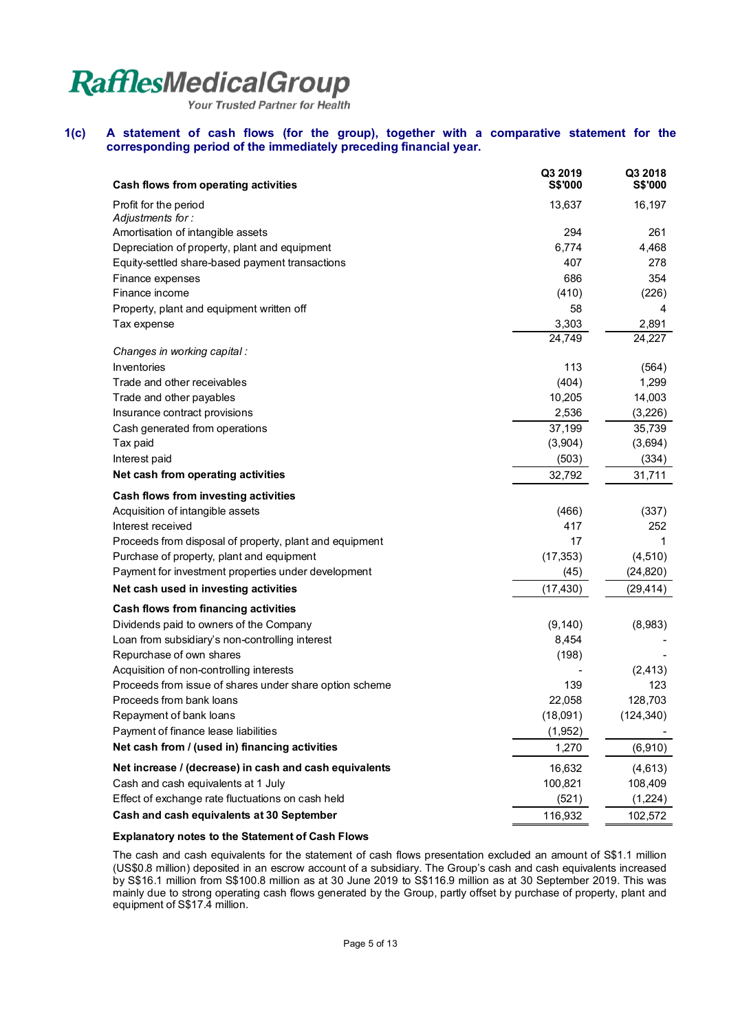Your Trusted Partner for Health

### **1(c) A statement of cash flows (for the group), together with a comparative statement for the corresponding period of the immediately preceding financial year.**

| Cash flows from operating activities                                                          | Q3 2019<br><b>S\$'000</b> | Q3 2018<br><b>S\$'000</b> |
|-----------------------------------------------------------------------------------------------|---------------------------|---------------------------|
| Profit for the period<br>Adjustments for:                                                     | 13,637                    | 16,197                    |
| Amortisation of intangible assets                                                             | 294                       | 261                       |
| Depreciation of property, plant and equipment                                                 | 6,774                     | 4,468                     |
| Equity-settled share-based payment transactions                                               | 407                       | 278                       |
| Finance expenses                                                                              | 686                       | 354                       |
| Finance income                                                                                | (410)                     | (226)                     |
| Property, plant and equipment written off                                                     | 58                        | 4                         |
| Tax expense                                                                                   | 3,303                     | 2,891                     |
| Changes in working capital :                                                                  | 24,749                    | 24,227                    |
| <b>Inventories</b>                                                                            | 113                       | (564)                     |
| Trade and other receivables                                                                   | (404)                     | 1,299                     |
| Trade and other payables                                                                      | 10,205                    | 14,003                    |
| Insurance contract provisions                                                                 | 2,536                     | (3,226)                   |
| Cash generated from operations                                                                | 37,199                    | 35,739                    |
| Tax paid                                                                                      | (3,904)                   | (3,694)                   |
| Interest paid                                                                                 | (503)                     | (334)                     |
| Net cash from operating activities                                                            | 32,792                    | 31,711                    |
| Cash flows from investing activities                                                          |                           |                           |
| Acquisition of intangible assets                                                              | (466)                     | (337)                     |
| Interest received                                                                             | 417                       | 252                       |
| Proceeds from disposal of property, plant and equipment                                       | 17                        | 1                         |
| Purchase of property, plant and equipment                                                     | (17, 353)                 | (4, 510)                  |
| Payment for investment properties under development                                           | (45)                      | (24, 820)                 |
| Net cash used in investing activities                                                         | (17, 430)                 | (29, 414)                 |
| Cash flows from financing activities                                                          |                           |                           |
| Dividends paid to owners of the Company                                                       | (9, 140)                  | (8,983)                   |
| Loan from subsidiary's non-controlling interest                                               | 8,454                     |                           |
| Repurchase of own shares                                                                      | (198)                     |                           |
| Acquisition of non-controlling interests                                                      |                           | (2, 413)                  |
| Proceeds from issue of shares under share option scheme                                       | 139                       | 123                       |
| Proceeds from bank loans                                                                      | 22,058                    | 128,703                   |
| Repayment of bank loans                                                                       | (18,091)                  | (124, 340)                |
| Payment of finance lease liabilities<br>Net cash from / (used in) financing activities        | (1, 952)<br>1,270         | (6,910)                   |
|                                                                                               |                           |                           |
| Net increase / (decrease) in cash and cash equivalents<br>Cash and cash equivalents at 1 July | 16,632<br>100,821         | (4,613)<br>108,409        |
| Effect of exchange rate fluctuations on cash held                                             | (521)                     | (1,224)                   |
| Cash and cash equivalents at 30 September                                                     |                           |                           |
|                                                                                               | 116,932                   | 102,572                   |

### **Explanatory notes to the Statement of Cash Flows**

The cash and cash equivalents for the statement of cash flows presentation excluded an amount of S\$1.1 million (US\$0.8 million) deposited in an escrow account of a subsidiary. The Group's cash and cash equivalents increased by S\$16.1 million from S\$100.8 million as at 30 June 2019 to S\$116.9 million as at 30 September 2019. This was mainly due to strong operating cash flows generated by the Group, partly offset by purchase of property, plant and equipment of S\$17.4 million.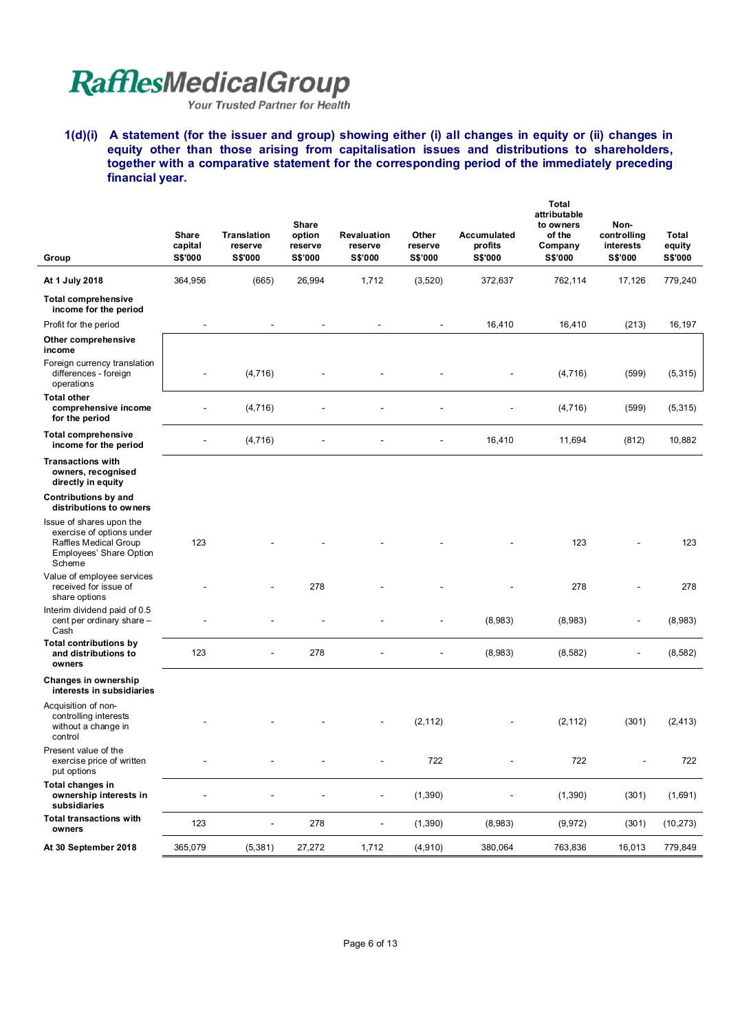Your Trusted Partner for Health

**1(d)(i) A statement (for the issuer and group) showing either (i) all changes in equity or (ii) changes in equity other than those arising from capitalisation issues and distributions to shareholders, together with a comparative statement for the corresponding period of the immediately preceding financial year.** 

|                                                                                                                     | Share<br>capital | <b>Translation</b><br>reserve | Share<br>option<br>reserve | <b>Revaluation</b><br>reserve | Other<br>reserve         | Accumulated<br>profits | <b>Total</b><br>attributable<br>to owners<br>of the<br>Company | Non-<br>controlling<br>interests | Total<br>equity |
|---------------------------------------------------------------------------------------------------------------------|------------------|-------------------------------|----------------------------|-------------------------------|--------------------------|------------------------|----------------------------------------------------------------|----------------------------------|-----------------|
| Group                                                                                                               | <b>S\$'000</b>   | <b>S\$'000</b>                | S\$'000                    | <b>S\$'000</b>                | S\$'000                  | <b>S\$'000</b>         | S\$'000                                                        | <b>S\$'000</b>                   | S\$'000         |
| At 1 July 2018                                                                                                      | 364,956          | (665)                         | 26,994                     | 1,712                         | (3,520)                  | 372,637                | 762,114                                                        | 17,126                           | 779,240         |
| <b>Total comprehensive</b><br>income for the period                                                                 |                  |                               |                            |                               |                          |                        |                                                                |                                  |                 |
| Profit for the period                                                                                               | $\blacksquare$   | $\overline{\phantom{a}}$      | $\overline{\phantom{a}}$   | $\overline{\phantom{a}}$      | $\overline{\phantom{a}}$ | 16,410                 | 16,410                                                         | (213)                            | 16,197          |
| Other comprehensive<br>income                                                                                       |                  |                               |                            |                               |                          |                        |                                                                |                                  |                 |
| Foreign currency translation<br>differences - foreign<br>operations                                                 | $\blacksquare$   | (4, 716)                      |                            |                               |                          |                        | (4, 716)                                                       | (599)                            | (5,315)         |
| <b>Total other</b><br>comprehensive income<br>for the period                                                        |                  | (4,716)                       |                            |                               |                          |                        | (4,716)                                                        | (599)                            | (5, 315)        |
| <b>Total comprehensive</b><br>income for the period                                                                 |                  | (4, 716)                      |                            |                               |                          | 16,410                 | 11,694                                                         | (812)                            | 10,882          |
| <b>Transactions with</b><br>owners, recognised<br>directly in equity                                                |                  |                               |                            |                               |                          |                        |                                                                |                                  |                 |
| Contributions by and<br>distributions to owners                                                                     |                  |                               |                            |                               |                          |                        |                                                                |                                  |                 |
| Issue of shares upon the<br>exercise of options under<br>Raffles Medical Group<br>Employees' Share Option<br>Scheme | 123              |                               |                            |                               |                          |                        | 123                                                            |                                  | 123             |
| Value of employee services<br>received for issue of<br>share options                                                |                  |                               | 278                        |                               |                          |                        | 278                                                            |                                  | 278             |
| Interim dividend paid of 0.5<br>cent per ordinary share -<br>Cash                                                   |                  |                               |                            |                               |                          | (8,983)                | (8,983)                                                        | $\blacksquare$                   | (8,983)         |
| <b>Total contributions by</b><br>and distributions to<br>owners                                                     | 123              |                               | 278                        |                               |                          | (8,983)                | (8, 582)                                                       | $\blacksquare$                   | (8, 582)        |
| Changes in ownership<br>interests in subsidiaries                                                                   |                  |                               |                            |                               |                          |                        |                                                                |                                  |                 |
| Acquisition of non-<br>controlling interests<br>without a change in<br>control                                      |                  |                               |                            |                               | (2, 112)                 |                        | (2, 112)                                                       | (301)                            | (2, 413)        |
| Present value of the<br>exercise price of written<br>put options                                                    |                  |                               |                            | $\overline{\phantom{m}}$      | 722                      |                        | 722                                                            | $\overline{\phantom{a}}$         | 722             |
| Total changes in<br>ownership interests in<br>subsidiaries                                                          |                  | $\blacksquare$                |                            | $\overline{\phantom{a}}$      | (1, 390)                 |                        | (1, 390)                                                       | (301)                            | (1,691)         |
| <b>Total transactions with</b><br>owners                                                                            | 123              | $\blacksquare$                | 278                        | $\blacksquare$                | (1,390)                  | (8,983)                | (9,972)                                                        | (301)                            | (10, 273)       |
| At 30 September 2018                                                                                                | 365,079          | (5, 381)                      | 27,272                     | 1,712                         | (4,910)                  | 380,064                | 763,836                                                        | 16,013                           | 779,849         |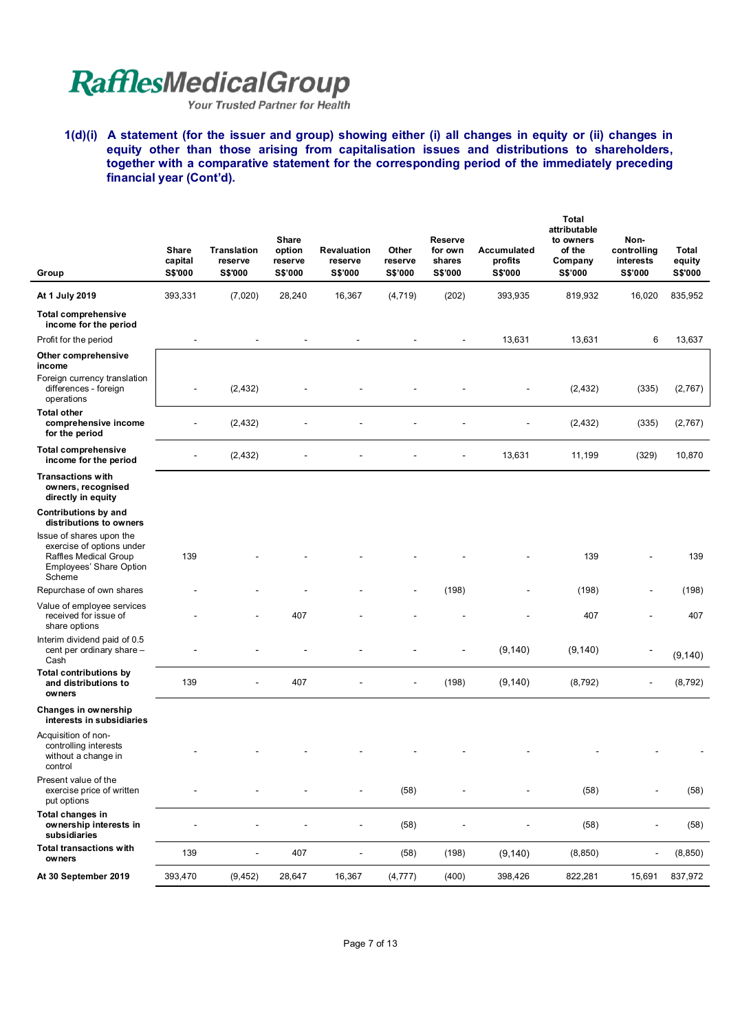Your Trusted Partner for Health

**1(d)(i) A statement (for the issuer and group) showing either (i) all changes in equity or (ii) changes in equity other than those arising from capitalisation issues and distributions to shareholders, together with a comparative statement for the corresponding period of the immediately preceding financial year (Cont'd).** 

| Group                                                                                                                      | <b>Share</b><br>capital<br><b>S\$'000</b> | <b>Translation</b><br>reserve<br><b>S\$'000</b> | Share<br>option<br>reserve<br><b>S\$'000</b> | Revaluation<br>reserve<br><b>S\$'000</b> | Other<br>reserve<br>S\$'000 | <b>Reserve</b><br>for own<br>shares<br><b>S\$'000</b> | Accumulated<br>profits<br><b>S\$'000</b> | Total<br>attributable<br>to owners<br>of the<br>Company<br>S\$'000 | Non-<br>controlling<br>interests<br><b>S\$'000</b> | Total<br>equity<br>S\$'000 |
|----------------------------------------------------------------------------------------------------------------------------|-------------------------------------------|-------------------------------------------------|----------------------------------------------|------------------------------------------|-----------------------------|-------------------------------------------------------|------------------------------------------|--------------------------------------------------------------------|----------------------------------------------------|----------------------------|
| At 1 July 2019                                                                                                             | 393,331                                   | (7,020)                                         | 28,240                                       | 16,367                                   | (4, 719)                    | (202)                                                 | 393,935                                  | 819,932                                                            | 16,020                                             | 835,952                    |
| <b>Total comprehensive</b><br>income for the period                                                                        |                                           |                                                 |                                              |                                          |                             |                                                       |                                          |                                                                    |                                                    |                            |
| Profit for the period                                                                                                      | $\overline{\phantom{a}}$                  | $\overline{\phantom{a}}$                        | $\overline{a}$                               | $\overline{a}$                           | $\overline{\phantom{a}}$    | $\blacksquare$                                        | 13,631                                   | 13,631                                                             | 6                                                  | 13,637                     |
| Other comprehensive<br>income<br>Foreign currency translation                                                              |                                           |                                                 |                                              |                                          |                             |                                                       |                                          |                                                                    |                                                    |                            |
| differences - foreign<br>operations                                                                                        |                                           | (2, 432)                                        |                                              |                                          |                             |                                                       |                                          | (2, 432)                                                           | (335)                                              | (2,767)                    |
| <b>Total other</b><br>comprehensive income<br>for the period                                                               |                                           | (2, 432)                                        |                                              |                                          |                             |                                                       |                                          | (2, 432)                                                           | (335)                                              | (2,767)                    |
| <b>Total comprehensive</b><br>income for the period                                                                        | $\overline{a}$                            | (2, 432)                                        |                                              |                                          |                             |                                                       | 13,631                                   | 11,199                                                             | (329)                                              | 10,870                     |
| <b>Transactions with</b><br>owners, recognised<br>directly in equity                                                       |                                           |                                                 |                                              |                                          |                             |                                                       |                                          |                                                                    |                                                    |                            |
| <b>Contributions by and</b><br>distributions to owners                                                                     |                                           |                                                 |                                              |                                          |                             |                                                       |                                          |                                                                    |                                                    |                            |
| Issue of shares upon the<br>exercise of options under<br>Raffles Medical Group<br><b>Employees' Share Option</b><br>Scheme | 139                                       |                                                 |                                              |                                          |                             |                                                       |                                          | 139                                                                |                                                    | 139                        |
| Repurchase of own shares                                                                                                   |                                           |                                                 |                                              |                                          |                             | (198)                                                 |                                          | (198)                                                              |                                                    | (198)                      |
| Value of employee services<br>received for issue of<br>share options                                                       |                                           |                                                 | 407                                          |                                          |                             |                                                       |                                          | 407                                                                |                                                    | 407                        |
| Interim dividend paid of 0.5<br>cent per ordinary share -<br>Cash                                                          |                                           |                                                 |                                              |                                          |                             |                                                       | (9, 140)                                 | (9, 140)                                                           | -                                                  | (9, 140)                   |
| <b>Total contributions by</b><br>and distributions to<br>owners                                                            | 139                                       |                                                 | 407                                          |                                          |                             | (198)                                                 | (9, 140)                                 | (8,792)                                                            |                                                    | (8, 792)                   |
| Changes in ownership<br>interests in subsidiaries                                                                          |                                           |                                                 |                                              |                                          |                             |                                                       |                                          |                                                                    |                                                    |                            |
| Acquisition of non-<br>controlling interests<br>without a change in<br>control                                             |                                           |                                                 |                                              |                                          |                             |                                                       |                                          |                                                                    |                                                    |                            |
| Present value of the<br>exercise price of written<br>put options                                                           |                                           |                                                 |                                              |                                          | (58)                        | $\overline{\phantom{m}}$                              |                                          | (58)                                                               |                                                    | (58)                       |
| Total changes in<br>ownership interests in<br>subsidiaries                                                                 |                                           |                                                 |                                              | $\overline{\phantom{a}}$                 | (58)                        |                                                       | $\overline{\phantom{a}}$                 | (58)                                                               | ٠                                                  | (58)                       |
| <b>Total transactions with</b><br>owners                                                                                   | 139                                       | $\blacksquare$                                  | 407                                          | $\overline{\phantom{a}}$                 | (58)                        | (198)                                                 | (9, 140)                                 | (8, 850)                                                           | $\overline{\phantom{a}}$                           | (8, 850)                   |
| At 30 September 2019                                                                                                       | 393,470                                   | (9, 452)                                        | 28,647                                       | 16,367                                   | (4, 777)                    | (400)                                                 | 398,426                                  | 822,281                                                            | 15,691                                             | 837,972                    |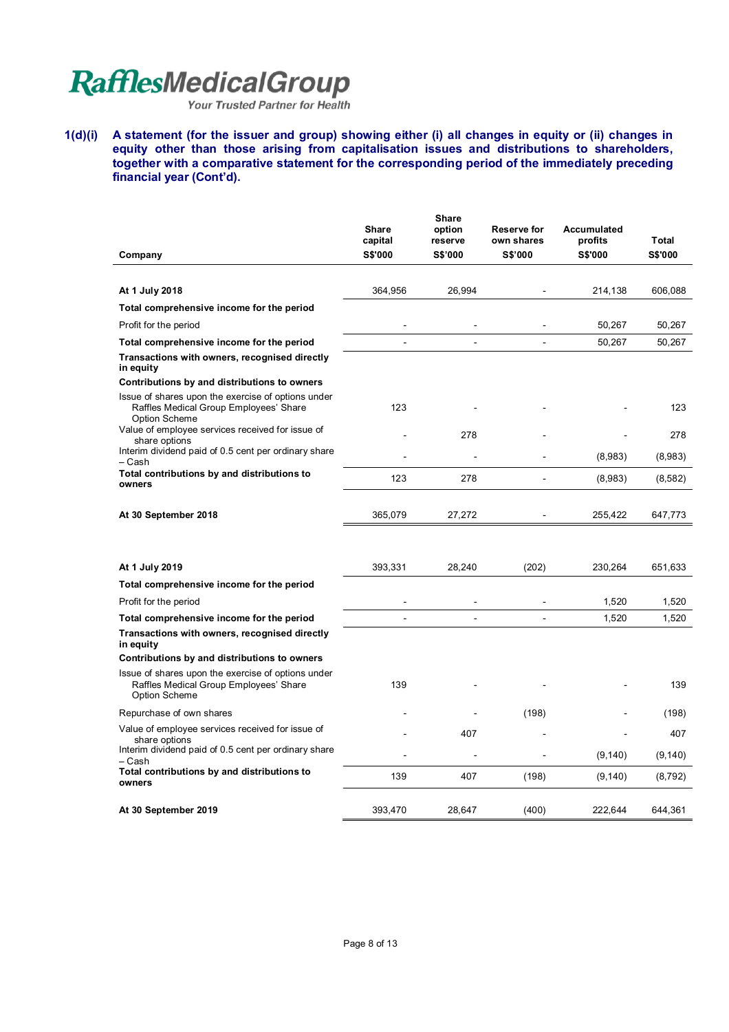Your Trusted Partner for Health

**1(d)(i) A statement (for the issuer and group) showing either (i) all changes in equity or (ii) changes in equity other than those arising from capitalisation issues and distributions to shareholders, together with a comparative statement for the corresponding period of the immediately preceding financial year (Cont'd).** 

| Company                                                                                                              | <b>Share</b><br>capital<br><b>S\$'000</b> | <b>Share</b><br>option<br>reserve<br><b>S\$'000</b> | Reserve for<br>own shares<br><b>S\$'000</b> | Accumulated<br>profits<br><b>S\$'000</b> | Total<br><b>S\$'000</b> |
|----------------------------------------------------------------------------------------------------------------------|-------------------------------------------|-----------------------------------------------------|---------------------------------------------|------------------------------------------|-------------------------|
|                                                                                                                      |                                           |                                                     |                                             |                                          |                         |
| At 1 July 2018                                                                                                       | 364,956                                   | 26,994                                              |                                             | 214,138                                  | 606,088                 |
| Total comprehensive income for the period                                                                            |                                           |                                                     |                                             |                                          |                         |
| Profit for the period                                                                                                |                                           |                                                     |                                             | 50,267                                   | 50,267                  |
| Total comprehensive income for the period                                                                            | $\overline{a}$                            |                                                     | ÷,                                          | 50,267                                   | 50,267                  |
| Transactions with owners, recognised directly<br>in equity                                                           |                                           |                                                     |                                             |                                          |                         |
| Contributions by and distributions to owners                                                                         |                                           |                                                     |                                             |                                          |                         |
| Issue of shares upon the exercise of options under<br>Raffles Medical Group Employees' Share<br><b>Option Scheme</b> | 123                                       |                                                     |                                             |                                          | 123                     |
| Value of employee services received for issue of<br>share options                                                    |                                           | 278                                                 |                                             |                                          | 278                     |
| Interim dividend paid of 0.5 cent per ordinary share<br>– Cash                                                       |                                           |                                                     |                                             | (8,983)                                  | (8,983)                 |
| Total contributions by and distributions to<br>owners                                                                | 123                                       | 278                                                 |                                             | (8,983)                                  | (8,582)                 |
| At 30 September 2018                                                                                                 | 365,079                                   | 27,272                                              |                                             | 255,422                                  | 647,773                 |
| At 1 July 2019                                                                                                       | 393,331                                   | 28,240                                              | (202)                                       | 230,264                                  | 651,633                 |
| Total comprehensive income for the period                                                                            |                                           |                                                     |                                             |                                          |                         |
| Profit for the period                                                                                                |                                           |                                                     |                                             | 1,520                                    | 1,520                   |
| Total comprehensive income for the period                                                                            | ÷                                         | ÷,                                                  | $\overline{a}$                              | 1,520                                    | 1,520                   |
| Transactions with owners, recognised directly<br>in equity                                                           |                                           |                                                     |                                             |                                          |                         |
| Contributions by and distributions to owners                                                                         |                                           |                                                     |                                             |                                          |                         |
| Issue of shares upon the exercise of options under<br>Raffles Medical Group Employees' Share<br>Option Scheme        | 139                                       |                                                     |                                             |                                          | 139                     |
| Repurchase of own shares                                                                                             |                                           |                                                     | (198)                                       |                                          | (198)                   |
| Value of employee services received for issue of                                                                     |                                           | 407                                                 |                                             |                                          | 407                     |
| share options<br>Interim dividend paid of 0.5 cent per ordinary share<br>– Cash                                      |                                           |                                                     |                                             | (9, 140)                                 | (9, 140)                |
| Total contributions by and distributions to<br>owners                                                                | 139                                       | 407                                                 | (198)                                       | (9, 140)                                 | (8,792)                 |
| At 30 September 2019                                                                                                 | 393,470                                   | 28.647                                              | (400)                                       | 222.644                                  | 644.361                 |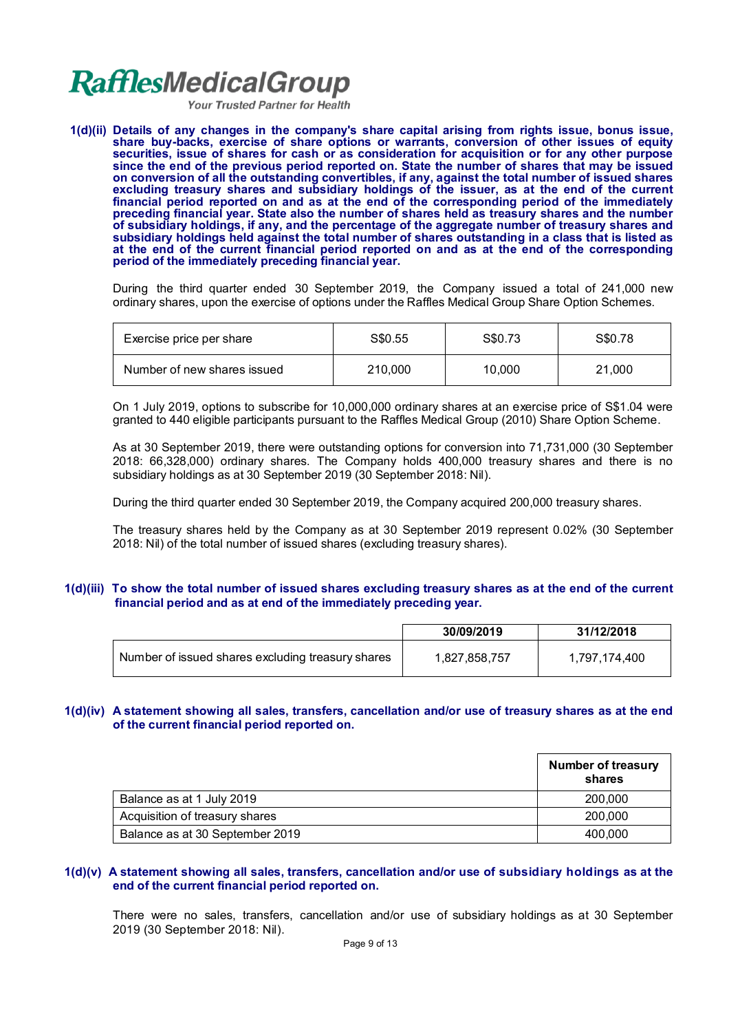**Your Trusted Partner for Health** 

**1(d)(ii) Details of any changes in the company's share capital arising from rights issue, bonus issue, share buy-backs, exercise of share options or warrants, conversion of other issues of equity securities, issue of shares for cash or as consideration for acquisition or for any other purpose since the end of the previous period reported on. State the number of shares that may be issued on conversion of all the outstanding convertibles, if any, against the total number of issued shares excluding treasury shares and subsidiary holdings of the issuer, as at the end of the current financial period reported on and as at the end of the corresponding period of the immediately preceding financial year. State also the number of shares held as treasury shares and the number of subsidiary holdings, if any, and the percentage of the aggregate number of treasury shares and subsidiary holdings held against the total number of shares outstanding in a class that is listed as at the end of the current financial period reported on and as at the end of the corresponding period of the immediately preceding financial year.**

During the third quarter ended 30 September 2019, the Company issued a total of 241,000 new ordinary shares, upon the exercise of options under the Raffles Medical Group Share Option Schemes.

| Exercise price per share    | S\$0.55 | S\$0.73 | S\$0.78 |
|-----------------------------|---------|---------|---------|
| Number of new shares issued | 210,000 | 10.000  | 21,000  |

On 1 July 2019, options to subscribe for 10,000,000 ordinary shares at an exercise price of S\$1.04 were granted to 440 eligible participants pursuant to the Raffles Medical Group (2010) Share Option Scheme.

As at 30 September 2019, there were outstanding options for conversion into 71,731,000 (30 September 2018: 66,328,000) ordinary shares. The Company holds 400,000 treasury shares and there is no subsidiary holdings as at 30 September 2019 (30 September 2018: Nil).

During the third quarter ended 30 September 2019, the Company acquired 200,000 treasury shares.

The treasury shares held by the Company as at 30 September 2019 represent 0.02% (30 September 2018: Nil) of the total number of issued shares (excluding treasury shares).

### **1(d)(iii) To show the total number of issued shares excluding treasury shares as at the end of the current financial period and as at end of the immediately preceding year.**

|                                                   | 30/09/2019    | 31/12/2018    |
|---------------------------------------------------|---------------|---------------|
| Number of issued shares excluding treasury shares | 1,827,858,757 | 1,797,174,400 |

### **1(d)(iv) A statement showing all sales, transfers, cancellation and/or use of treasury shares as at the end of the current financial period reported on.**

|                                 | <b>Number of treasury</b><br>shares |
|---------------------------------|-------------------------------------|
| Balance as at 1 July 2019       | 200,000                             |
| Acquisition of treasury shares  | 200,000                             |
| Balance as at 30 September 2019 | 400.000                             |

### **1(d)(v) A statement showing all sales, transfers, cancellation and/or use of subsidiary holdings as at the end of the current financial period reported on.**

There were no sales, transfers, cancellation and/or use of subsidiary holdings as at 30 September 2019 (30 September 2018: Nil).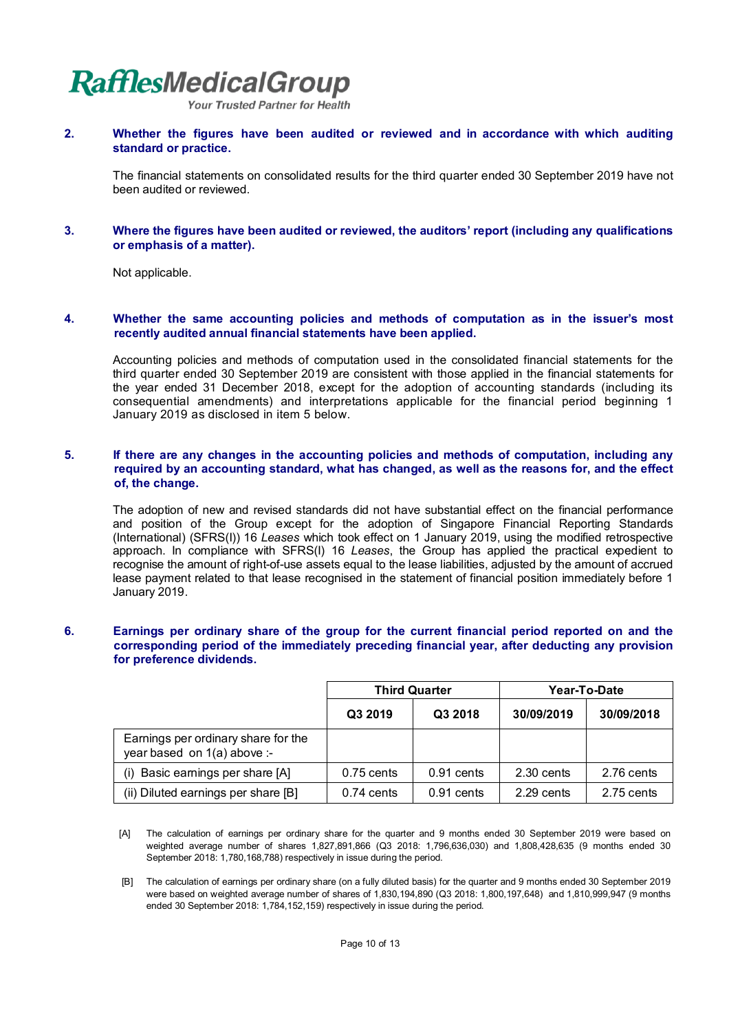Your Trusted Partner for Health

**2. Whether the figures have been audited or reviewed and in accordance with which auditing standard or practice.**

The financial statements on consolidated results for the third quarter ended 30 September 2019 have not been audited or reviewed.

**3. Where the figures have been audited or reviewed, the auditors' report (including any qualifications or emphasis of a matter).**

Not applicable.

#### **4. Whether the same accounting policies and methods of computation as in the issuer's most recently audited annual financial statements have been applied.**

Accounting policies and methods of computation used in the consolidated financial statements for the third quarter ended 30 September 2019 are consistent with those applied in the financial statements for the year ended 31 December 2018, except for the adoption of accounting standards (including its consequential amendments) and interpretations applicable for the financial period beginning 1 January 2019 as disclosed in item 5 below.

### **5. If there are any changes in the accounting policies and methods of computation, including any required by an accounting standard, what has changed, as well as the reasons for, and the effect of, the change.**

The adoption of new and revised standards did not have substantial effect on the financial performance and position of the Group except for the adoption of Singapore Financial Reporting Standards (International) (SFRS(I)) 16 *Leases* which took effect on 1 January 2019, using the modified retrospective approach. In compliance with SFRS(I) 16 *Leases*, the Group has applied the practical expedient to recognise the amount of right-of-use assets equal to the lease liabilities, adjusted by the amount of accrued lease payment related to that lease recognised in the statement of financial position immediately before 1 January 2019.

### **6. Earnings per ordinary share of the group for the current financial period reported on and the corresponding period of the immediately preceding financial year, after deducting any provision for preference dividends.**

|                                                                    | <b>Third Quarter</b> |              | Year-To-Date |            |
|--------------------------------------------------------------------|----------------------|--------------|--------------|------------|
|                                                                    | Q3 2019              | Q3 2018      | 30/09/2019   | 30/09/2018 |
| Earnings per ordinary share for the<br>year based on 1(a) above :- |                      |              |              |            |
| (i) Basic earnings per share [A]                                   | $0.75$ cents         | $0.91$ cents | 2.30 cents   | 2.76 cents |
| (ii) Diluted earnings per share [B]                                | $0.74$ cents         | $0.91$ cents | 2.29 cents   | 2.75 cents |

- [A] The calculation of earnings per ordinary share for the quarter and 9 months ended 30 September 2019 were based on weighted average number of shares 1,827,891,866 (Q3 2018: 1,796,636,030) and 1,808,428,635 (9 months ended 30 September 2018: 1,780,168,788) respectively in issue during the period.
- [B] The calculation of earnings per ordinary share (on a fully diluted basis) for the quarter and 9 months ended 30 September 2019 were based on weighted average number of shares of 1,830,194,890 (Q3 2018: 1,800,197,648) and 1,810,999,947 (9 months ended 30 September 2018: 1,784,152,159) respectively in issue during the period.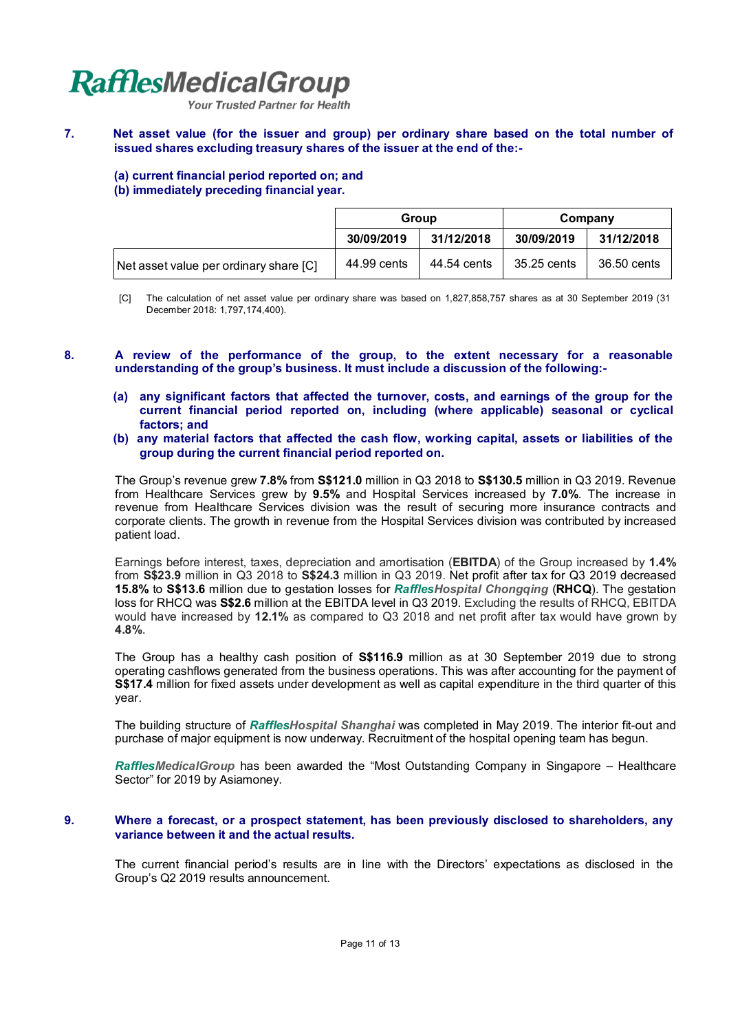**Your Trusted Partner for Health** 

### **7. Net asset value (for the issuer and group) per ordinary share based on the total number of issued shares excluding treasury shares of the issuer at the end of the:-**

### **(a) current financial period reported on; and**

**(b) immediately preceding financial year.**

|                                        | Group       |             | Company     |             |
|----------------------------------------|-------------|-------------|-------------|-------------|
|                                        | 30/09/2019  | 31/12/2018  | 30/09/2019  | 31/12/2018  |
| Net asset value per ordinary share [C] | 44.99 cents | 44.54 cents | 35.25 cents | 36.50 cents |

- [C] The calculation of net asset value per ordinary share was based on 1,827,858,757 shares as at 30 September 2019 (31 December 2018: 1,797,174,400).
- **8. A review of the performance of the group, to the extent necessary for a reasonable understanding of the group's business. It must include a discussion of the following:-**
	- **(a) any significant factors that affected the turnover, costs, and earnings of the group for the current financial period reported on, including (where applicable) seasonal or cyclical factors; and**
	- **(b) any material factors that affected the cash flow, working capital, assets or liabilities of the group during the current financial period reported on.**

The Group's revenue grew **7.8%** from **S\$121.0** million in Q3 2018 to **S\$130.5** million in Q3 2019. Revenue from Healthcare Services grew by **9.5%** and Hospital Services increased by **7.0%**. The increase in revenue from Healthcare Services division was the result of securing more insurance contracts and corporate clients. The growth in revenue from the Hospital Services division was contributed by increased patient load.

Earnings before interest, taxes, depreciation and amortisation (**EBITDA**) of the Group increased by **1.4%** from **S\$23.9** million in Q3 2018 to **S\$24.3** million in Q3 2019. Net profit after tax for Q3 2019 decreased **15.8%** to **S\$13.6** million due to gestation losses for *RafflesHospital Chongqing* (**RHCQ**). The gestation loss for RHCQ was **S\$2.6** million at the EBITDA level in Q3 2019. Excluding the results of RHCQ, EBITDA would have increased by **12.1%** as compared to Q3 2018 and net profit after tax would have grown by **4.8%**.

The Group has a healthy cash position of **S\$116.9** million as at 30 September 2019 due to strong operating cashflows generated from the business operations. This was after accounting for the payment of **S\$17.4** million for fixed assets under development as well as capital expenditure in the third quarter of this year.

The building structure of *RafflesHospital Shanghai* was completed in May 2019. The interior fit-out and purchase of major equipment is now underway. Recruitment of the hospital opening team has begun.

*RafflesMedicalGroup* has been awarded the "Most Outstanding Company in Singapore – Healthcare Sector" for 2019 by Asiamoney.

### **9. Where a forecast, or a prospect statement, has been previously disclosed to shareholders, any variance between it and the actual results.**

The current financial period's results are in line with the Directors' expectations as disclosed in the Group's Q2 2019 results announcement.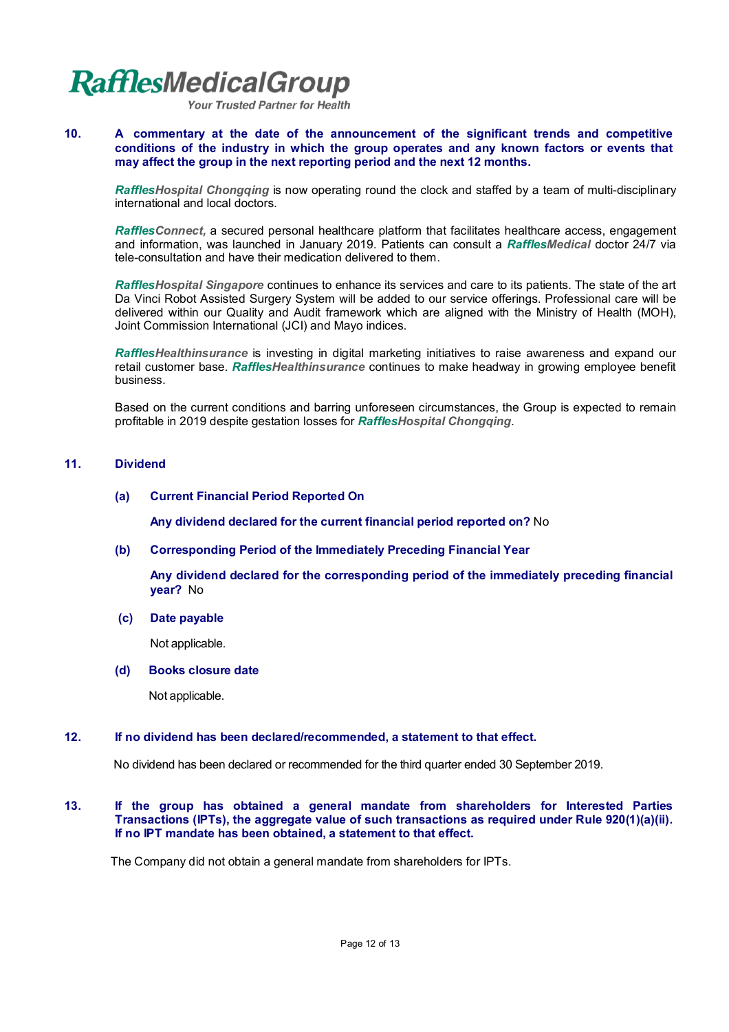**Your Trusted Partner for Health** 

### **10. A commentary at the date of the announcement of the significant trends and competitive conditions of the industry in which the group operates and any known factors or events that may affect the group in the next reporting period and the next 12 months.**

*RafflesHospital Chongqing* is now operating round the clock and staffed by a team of multi-disciplinary international and local doctors.

*RafflesConnect,* a secured personal healthcare platform that facilitates healthcare access, engagement and information, was launched in January 2019. Patients can consult a *RafflesMedical* doctor 24/7 via tele-consultation and have their medication delivered to them.

*RafflesHospital Singapore* continues to enhance its services and care to its patients. The state of the art Da Vinci Robot Assisted Surgery System will be added to our service offerings. Professional care will be delivered within our Quality and Audit framework which are aligned with the Ministry of Health (MOH), Joint Commission International (JCI) and Mayo indices.

*RafflesHealthinsurance* is investing in digital marketing initiatives to raise awareness and expand our retail customer base. *RafflesHealthinsurance* continues to make headway in growing employee benefit business.

Based on the current conditions and barring unforeseen circumstances, the Group is expected to remain profitable in 2019 despite gestation losses for *RafflesHospital Chongqing*.

### **11. Dividend**

### **(a) Current Financial Period Reported On**

**Any dividend declared for the current financial period reported on?** No

**(b) Corresponding Period of the Immediately Preceding Financial Year**

**Any dividend declared for the corresponding period of the immediately preceding financial year?** No

 **(c) Date payable**

Not applicable.

**(d) Books closure date**

Not applicable.

### **12. If no dividend has been declared/recommended, a statement to that effect.**

No dividend has been declared or recommended for the third quarter ended 30 September 2019.

#### **13. If the group has obtained a general mandate from shareholders for Interested Parties Transactions (IPTs), the aggregate value of such transactions as required under Rule 920(1)(a)(ii). If no IPT mandate has been obtained, a statement to that effect.**

The Company did not obtain a general mandate from shareholders for IPTs.